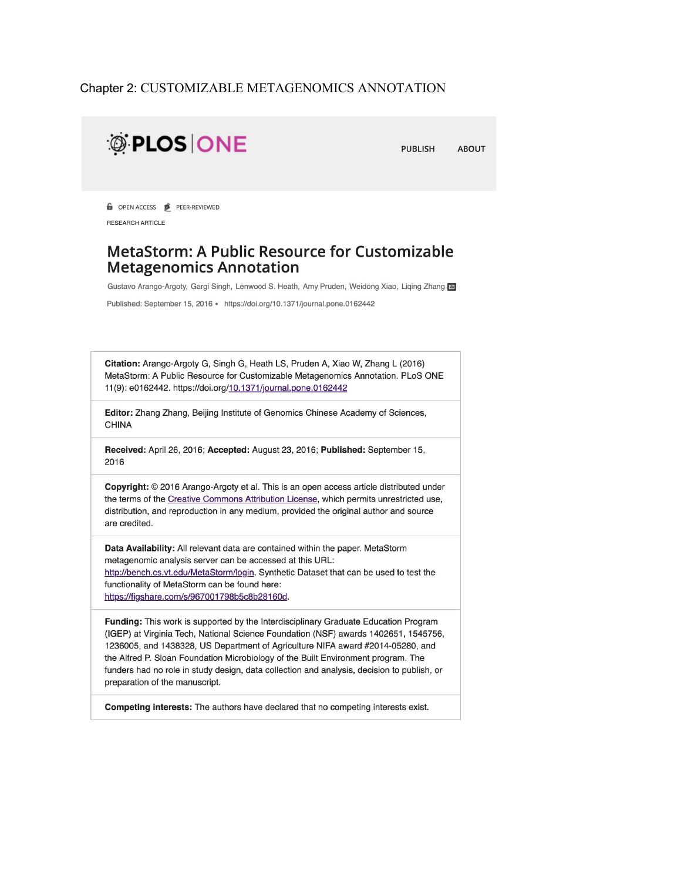#### Chapter 2: CUSTOMIZABLE METAGENOMICS ANNOTATION



#### **MetaStorm: A Public Resource for Customizable Metagenomics Annotation**

Gustavo Arango-Argoty, Gargi Singh, Lenwood S. Heath, Amy Pruden, Weidong Xiao, Liqing Zhang

Published: September 15, 2016 · https://doi.org/10.1371/journal.pone.0162442

Citation: Arango-Argoty G, Singh G, Heath LS, Pruden A, Xiao W, Zhang L (2016) MetaStorm: A Public Resource for Customizable Metagenomics Annotation. PLoS ONE 11(9): e0162442. https://doi.org/10.1371/journal.pone.0162442

Editor: Zhang Zhang, Beijing Institute of Genomics Chinese Academy of Sciences, **CHINA** 

Received: April 26, 2016; Accepted: August 23, 2016; Published: September 15, 2016

Copyright: @ 2016 Arango-Argoty et al. This is an open access article distributed under the terms of the Creative Commons Attribution License, which permits unrestricted use, distribution, and reproduction in any medium, provided the original author and source are credited.

Data Availability: All relevant data are contained within the paper. MetaStorm metagenomic analysis server can be accessed at this URL: http://bench.cs.vt.edu/MetaStorm/login. Synthetic Dataset that can be used to test the functionality of MetaStorm can be found here: https://figshare.com/s/967001798b5c8b28160d.

Funding: This work is supported by the Interdisciplinary Graduate Education Program (IGEP) at Virginia Tech, National Science Foundation (NSF) awards 1402651, 1545756, 1236005, and 1438328, US Department of Agriculture NIFA award #2014-05280, and the Alfred P. Sloan Foundation Microbiology of the Built Environment program. The funders had no role in study design, data collection and analysis, decision to publish, or preparation of the manuscript.

Competing interests: The authors have declared that no competing interests exist.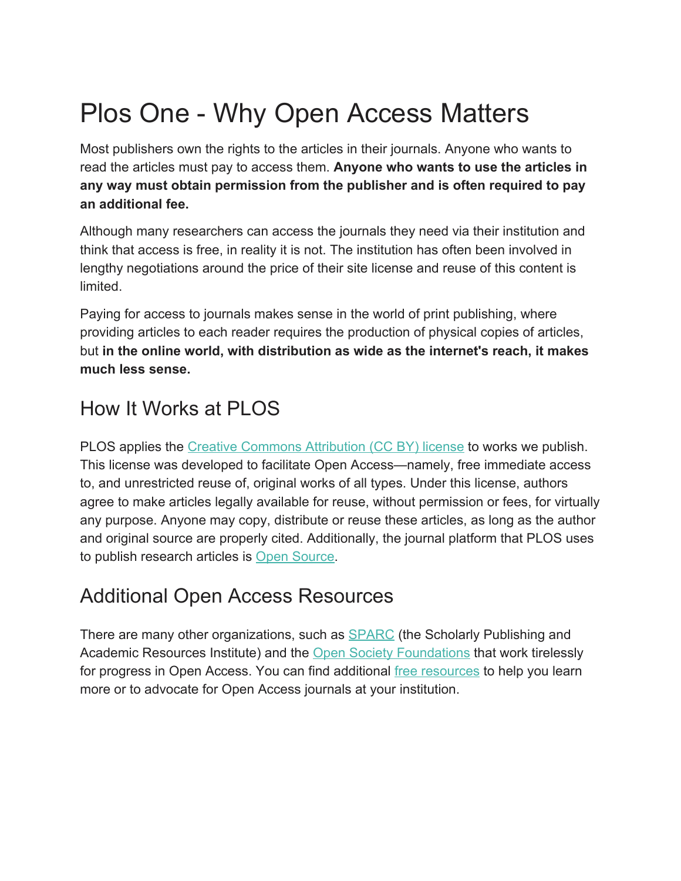# Plos One - Why Open Access Matters

Most publishers own the rights to the articles in their journals. Anyone who wants to read the articles must pay to access them. **Anyone who wants to use the articles in any way must obtain permission from the publisher and is often required to pay an additional fee.**

Although many researchers can access the journals they need via their institution and think that access is free, in reality it is not. The institution has often been involved in lengthy negotiations around the price of their site license and reuse of this content is limited.

Paying for access to journals makes sense in the world of print publishing, where providing articles to each reader requires the production of physical copies of articles, but **in the online world, with distribution as wide as the internet's reach, it makes much less sense.**

## How It Works at PLOS

PLOS applies the [Creative Commons Attribution \(CC BY\) license](http://creativecommons.org/licenses/by/4.0/) to works we publish. This license was developed to facilitate Open Access—namely, free immediate access to, and unrestricted reuse of, original works of all types. Under this license, authors agree to make articles legally available for reuse, without permission or fees, for virtually any purpose. Anyone may copy, distribute or reuse these articles, as long as the author and original source are properly cited. Additionally, the journal platform that PLOS uses to publish research articles is [Open Source.](http://www.ambraproject.org/)

### Additional Open Access Resources

There are many other organizations, such as **SPARC** (the Scholarly Publishing and Academic Resources Institute) and the [Open Society Foundations](http://www.soros.org/) that work tirelessly for progress in Open Access. You can find additional [free resources](http://oad.simmons.edu/oadwiki/Main_Page) to help you learn more or to advocate for Open Access journals at your institution.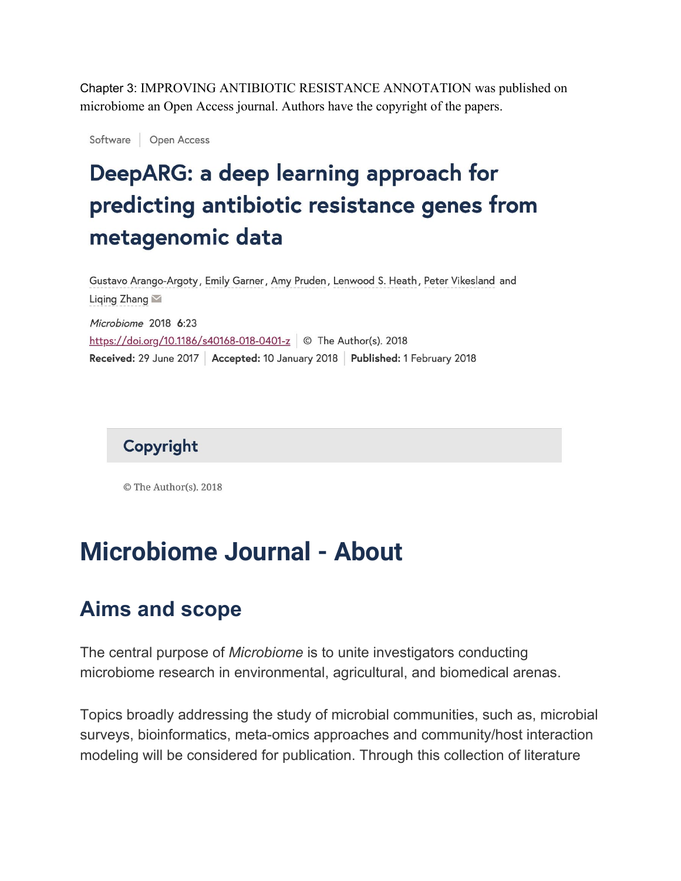Chapter 3: IMPROVING ANTIBIOTIC RESISTANCE ANNOTATION was published on microbiome an Open Access journal. Authors have the copyright of the papers.

Software Open Access

## DeepARG: a deep learning approach for predicting antibiotic resistance genes from metagenomic data

Gustavo Arango-Argoty, Emily Garner, Amy Pruden, Lenwood S. Heath, Peter Vikesland and Liqing Zhang Microbiome 2018 6:23 https://doi.org/10.1186/s40168-018-0401-z © The Author(s). 2018 Received: 29 June 2017 | Accepted: 10 January 2018 | Published: 1 February 2018



© The Author(s). 2018

## **Microbiome Journal - About**

### **Aims and scope**

The central purpose of *Microbiome* is to unite investigators conducting microbiome research in environmental, agricultural, and biomedical arenas.

Topics broadly addressing the study of microbial communities, such as, microbial surveys, bioinformatics, meta-omics approaches and community/host interaction modeling will be considered for publication. Through this collection of literature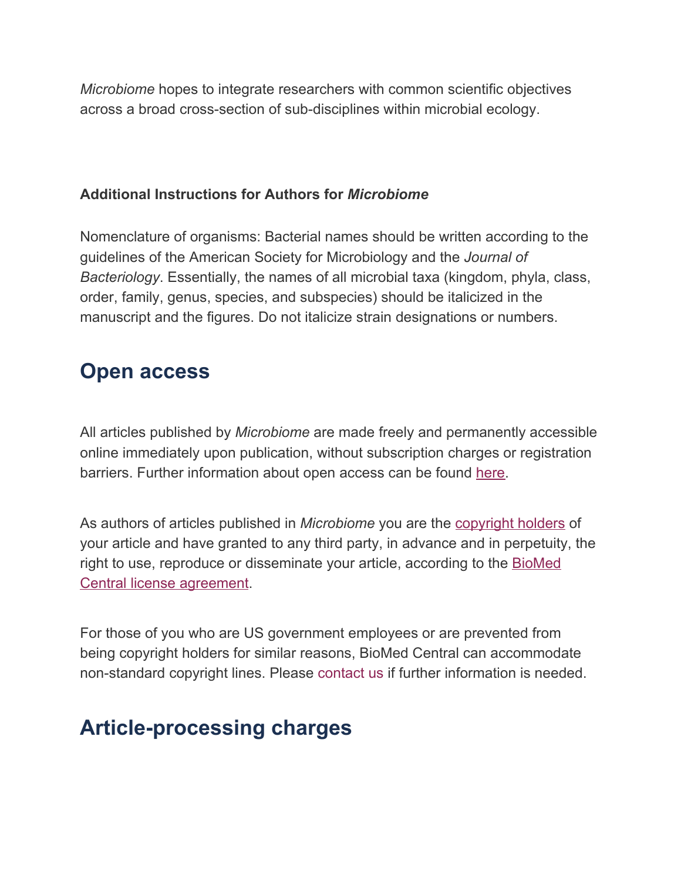*Microbiome* hopes to integrate researchers with common scientific objectives across a broad cross-section of sub-disciplines within microbial ecology.

### **Additional Instructions for Authors for** *Microbiome*

Nomenclature of organisms: Bacterial names should be written according to the guidelines of the American Society for Microbiology and the *Journal of Bacteriology*. Essentially, the names of all microbial taxa (kingdom, phyla, class, order, family, genus, species, and subspecies) should be italicized in the manuscript and the figures. Do not italicize strain designations or numbers.

## **Open access**

All articles published by *Microbiome* are made freely and permanently accessible online immediately upon publication, without subscription charges or registration barriers. Further information about open access can be found [here](https://www.biomedcentral.com/about/open-access).

As authors of articles published in *Microbiome* you are the [copyright](https://www.biomedcentral.com/getpublished/copyright-and-license) holders of your article and have granted to any third party, in advance and in perpetuity, the right to use, reproduce or disseminate your article, according to the [BioMed](http://www.biomedcentral.com/about/policies/license-agreement) Central license [agreement.](http://www.biomedcentral.com/about/policies/license-agreement)

For those of you who are US government employees or are prevented from being copyright holders for similar reasons, BioMed Central can accommodate non-standard copyright lines. Please contact us if further information is needed.

## **Article-processing charges**